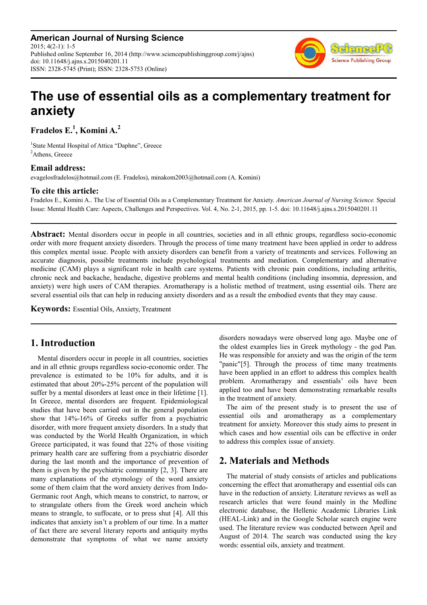**American Journal of Nursing Science** 2015; 4(2-1): 1-5 Published online September 16, 2014 (http://www.sciencepublishinggroup.com/j/ajns) doi: 10.11648/j.ajns.s.2015040201.11 ISSN: 2328-5745 (Print); ISSN: 2328-5753 (Online)



# **The use of essential oils as a complementary treatment for anxiety**

**Fradelos E.<sup>1</sup> , Komini A.<sup>2</sup>**

<sup>1</sup>State Mental Hospital of Attica "Daphne", Greece <sup>2</sup>Athens, Greece

## **Email address:**

evagelosfradelos@hotmail.com (E. Fradelos), minakom2003@hotmail.com (A. Komini)

### **To cite this article:**

Fradelos E., Komini A.. The Use of Essential Oils as a Complementary Treatment for Anxiety. *American Journal of Nursing Science.* Special Issue: Mental Health Care: Aspects, Challenges and Perspectives. Vol. 4, No. 2-1, 2015, pp. 1-5. doi: 10.11648/j.ajns.s.2015040201.11

Abstract: Mental disorders occur in people in all countries, societies and in all ethnic groups, regardless socio-economic order with more frequent anxiety disorders. Through the process of time many treatment have been applied in order to address this complex mental issue. People with anxiety disorders can benefit from a variety of treatments and services. Following an accurate diagnosis, possible treatments include psychological treatments and mediation. Complementary and alternative medicine (CAM) plays a significant role in health care systems. Patients with chronic pain conditions, including arthritis, chronic neck and backache, headache, digestive problems and mental health conditions (including insomnia, depression, and anxiety) were high users of CAM therapies. Aromatherapy is a holistic method of treatment, using essential oils. There are several essential oils that can help in reducing anxiety disorders and as a result the embodied events that they may cause.

**Keywords:** Essential Oils, Anxiety, Treatment

# **1. Introduction**

Mental disorders occur in people in all countries, societies and in all ethnic groups regardless socio-economic order. The prevalence is estimated to be 10% for adults, and it is estimated that about 20%-25% percent of the population will suffer by a mental disorders at least once in their lifetime [1]. In Greece, mental disorders are frequent. Epidemiological studies that have been carried out in the general population show that 14%-16% of Greeks suffer from a psychiatric disorder, with more frequent anxiety disorders. In a study that was conducted by the World Health Organization, in which Greece participated, it was found that 22% of those visiting primary health care are suffering from a psychiatric disorder during the last month and the importance of prevention of them is given by the psychiatric community [2, 3]. There are many explanations of the etymology of the word anxiety some of them claim that the word anxiety derives from Indo-Germanic root Angh, which means to constrict, to narrow, or to strangulate others from the Greek word anchein which means to strangle, to suffocate, or to press shut [4]. All this indicates that anxiety isn't a problem of our time. In a matter of fact there are several literary reports and antiquity myths demonstrate that symptoms of what we name anxiety disorders nowadays were observed long ago. Maybe one of the oldest examples lies in Greek mythology - the god Pan. He was responsible for anxiety and was the origin of the term "panic"[5]. Through the process of time many treatments have been applied in an effort to address this complex health problem. Aromatherapy and essentials' oils have been applied too and have been demonstrating remarkable results in the treatment of anxiety.

The aim of the present study is to present the use of essential oils and aromatherapy as a complementary treatment for anxiety. Moreover this study aims to present in which cases and how essential oils can be effective in order to address this complex issue of anxiety.

# **2. Materials and Methods**

The material of study consists of articles and publications concerning the effect that aromatherapy and essential oils can have in the reduction of anxiety. Literature reviews as well as research articles that were found mainly in the Medline electronic database, the Hellenic Academic Libraries Link (HEAL-Link) and in the Google Scholar search engine were used. The literature review was conducted between April and August of 2014. The search was conducted using the key words: essential oils, anxiety and treatment.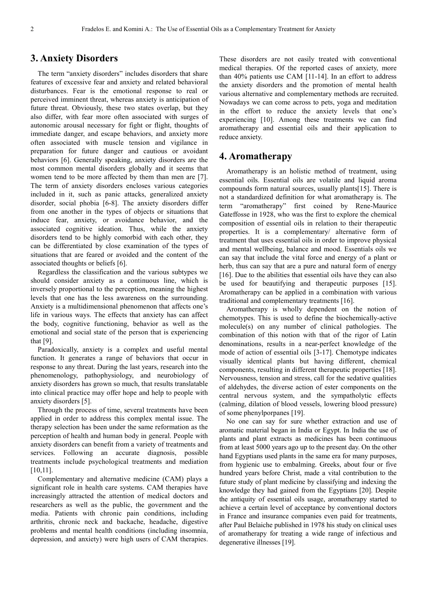#### **3. Anxiety Disorders**

The term "anxiety disorders" includes disorders that share features of excessive fear and anxiety and related behavioral disturbances. Fear is the emotional response to real or perceived imminent threat, whereas anxiety is anticipation of future threat. Obviously, these two states overlap, but they also differ, with fear more often associated with surges of autonomic arousal necessary for fight or flight, thoughts of immediate danger, and escape behaviors, and anxiety more often associated with muscle tension and vigilance in preparation for future danger and cautious or avoidant behaviors [6]. Generally speaking, anxiety disorders are the most common mental disorders globally and it seems that women tend to be more affected by them than men are [7]. The term of anxiety disorders encloses various categories included in it, such as panic attacks, generalized anxiety disorder, social phobia [6-8]. The anxiety disorders differ from one another in the types of objects or situations that induce fear, anxiety, or avoidance behavior, and the associated cognitive ideation. Thus, while the anxiety disorders tend to be highly comorbid with each other, they can be differentiated by close examination of the types of situations that are feared or avoided and the content of the associated thoughts or beliefs [6].

Regardless the classification and the various subtypes we should consider anxiety as a continuous line, which is inversely proportional to the perception, meaning the highest levels that one has the less awareness on the surrounding. Anxiety is a multidimensional phenomenon that affects one's life in various ways. The effects that anxiety has can affect the body, cognitive functioning, behavior as well as the emotional and social state of the person that is experiencing that [9].

Paradoxically, anxiety is a complex and useful mental function. It generates a range of behaviors that occur in response to any threat. During the last years, research into the phenomenology, pathophysiology, and neurobiology of anxiety disorders has grown so much, that results translatable into clinical practice may offer hope and help to people with anxiety disorders [5].

Through the process of time, several treatments have been applied in order to address this complex mental issue. The therapy selection has been under the same reformation as the perception of health and human body in general. People with anxiety disorders can benefit from a variety of treatments and services. Following an accurate diagnosis, possible treatments include psychological treatments and mediation [10,11].

Complementary and alternative medicine (CAM) plays a significant role in health care systems. CAM therapies have increasingly attracted the attention of medical doctors and researchers as well as the public, the government and the media. Patients with chronic pain conditions, including arthritis, chronic neck and backache, headache, digestive problems and mental health conditions (including insomnia, depression, and anxiety) were high users of CAM therapies.

These disorders are not easily treated with conventional medical therapies. Of the reported cases of anxiety, more than 40% patients use CAM [11-14]. In an effort to address the anxiety disorders and the promotion of mental health various alternative and complementary methods are recruited. Nowadays we can come across to pets, yoga and meditation in the effort to reduce the anxiety levels that one's experiencing [10]. Among these treatments we can find aromatherapy and essential oils and their application to reduce anxiety.

#### **4. Aromatherapy**

Aromatherapy is an holistic method of treatment, using essential oils. Essential oils are volatile and liquid aroma compounds form natural sources, usually plants[15]. There is not a standardized definition for what aromatherapy is. The term "aromatherapy" first coined by Rene-Maurice Gateffosse in 1928, who was the first to explore the chemical composition of essential oils in relation to their therapeutic properties. It is a complementary/ alternative form of treatment that uses essential oils in order to improve physical and mental wellbeing, balance and mood. Essentials oils we can say that include the vital force and energy of a plant or herb, thus can say that are a pure and natural form of energy [16]. Due to the abilities that essential oils have they can also be used for beautifying and therapeutic purposes [15]. Aromatherapy can be applied in a combination with various traditional and complementary treatments [16].

Aromatherapy is wholly dependent on the notion of chemotypes. This is used to define the biochemically-active molecule(s) on any number of clinical pathologies. The combination of this notion with that of the rigor of Latin denominations, results in a near-perfect knowledge of the mode of action of essential oils [3-17]. Chemotype indicates visually identical plants but having different, chemical components, resulting in different therapeutic properties [18]. Nervousness, tension and stress, call for the sedative qualities of aldehydes, the diverse action of ester components on the central nervous system, and the sympatholytic effects (calming, dilation of blood vessels, lowering blood pressure) of some phenylporpanes [19].

No one can say for sure whether extraction and use of aromatic material began in India or Egypt. In India the use of plants and plant extracts as medicines has been continuous from at least 5000 years ago up to the present day. On the other hand Egyptians used plants in the same era for many purposes, from hygienic use to embalming. Greeks, about four or five hundred years before Christ, made a vital contribution to the future study of plant medicine by classifying and indexing the knowledge they had gained from the Egyptians [20]. Despite the antiquity of essential oils usage, aromatherapy started to achieve a certain level of acceptance by conventional doctors in France and insurance companies even paid for treatments, after Paul Belaiche published in 1978 his study on clinical uses of aromatherapy for treating a wide range of infectious and degenerative illnesses [19].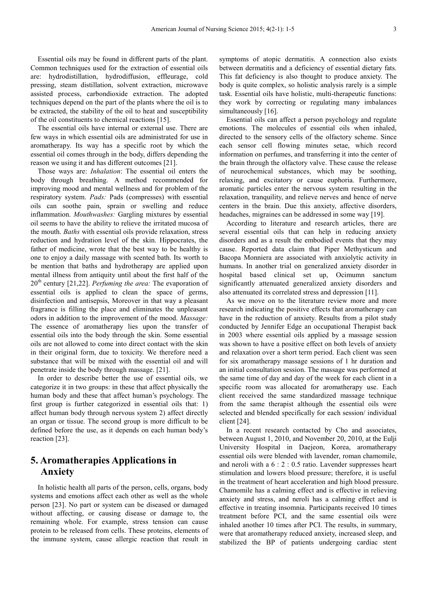Essential oils may be found in different parts of the plant. Common techniques used for the extraction of essential oils are: hydrodistillation, hydrodiffusion, effleurage, cold pressing, steam distillation, solvent extraction, microwave assisted process, carbondioxide extraction. The adopted techniques depend on the part of the plants where the oil is to be extracted, the stability of the oil to heat and susceptibility of the oil constituents to chemical reactions [15].

The essential oils have internal or external use. There are few ways in which essential oils are administrated for use in aromatherapy. Its way has a specific root by which the essential oil comes through in the body, differs depending the reason we using it and has different outcomes [21].

Those ways are: *Inhalation*: The essential oil enters the body through breathing. A method recommended for improving mood and mental wellness and for problem of the respiratory system. *Pads:* Pads (compresses) with essential oils can soothe pain, sprain or swelling and reduce inflammation. *Mouthwashes:* Gargling mixtures by essential oil seems to have the ability to relieve the irritated mucosa of the mouth. *Baths* with essential oils provide relaxation, stress reduction and hydration level of the skin. Hippocrates, the father of medicine, wrote that the best way to be healthy is one to enjoy a daily massage with scented bath. Its worth to be mention that baths and hydrotherapy are applied upon mental illness from antiquity until about the first half of the 20th century [21,22]. *Perfuming the area:* The evaporation of essential oils is applied to clean the space of germs, disinfection and antisepsis, Moreover in that way a pleasant fragrance is filling the place and eliminates the unpleasant odors in addition to the improvement of the mood. *Massage:* The essence of aromatherapy lies upon the transfer of essential oils into the body through the skin. Some essential oils are not allowed to come into direct contact with the skin in their original form, due to toxicity. We therefore need a substance that will be mixed with the essential oil and will penetrate inside the body through massage. [21].

In order to describe better the use of essential oils, we categorize it in two groups: in these that affect physically the human body and these that affect human's psychology. The first group is further categorized in essential oils that: 1) affect human body through nervous system 2) affect directly an organ or tissue. The second group is more difficult to be defined before the use, as it depends on each human body's reaction [23].

## **5. Aromatherapies Applications in Anxiety**

In holistic health all parts of the person, cells, organs, body systems and emotions affect each other as well as the whole person [23]. No part or system can be diseased or damaged without affecting, or causing disease or damage to, the remaining whole. For example, stress tension can cause protein to be released from cells. These proteins, elements of the immune system, cause allergic reaction that result in

symptoms of atopic dermatitis. A connection also exists between dermatitis and a deficiency of essential dietary fats. This fat deficiency is also thought to produce anxiety. The body is quite complex, so holistic analysis rarely is a simple task. Essential oils have holistic, multi-therapeutic functions: they work by correcting or regulating many imbalances simultaneously [16].

Essential oils can affect a person psychology and regulate emotions. The molecules of essential oils when inhaled, directed to the sensory cells of the olfactory scheme. Since each sensor cell flowing minutes setae, which record information on perfumes, and transferring it into the center of the brain through the olfactory valve. These cause the release of neurochemical substances, which may be soothing, relaxing, and excitatory or cause euphoria. Furthermore, aromatic particles enter the nervous system resulting in the relaxation, tranquility, and relieve nerves and hence of nerve centers in the brain. Due this anxiety, affective disorders, headaches, migraines can be addressed in some way [19].

According to literature and research articles, there are several essential oils that can help in reducing anxiety disorders and as a result the embodied events that they may cause. Reported data claim that Piper Methysticum and Bacopa Monniera are associated with anxiolytic activity in humans. In another trial on generalized anxiety disorder in hospital based clinical set up, Ocimumn sanctum significantly attenuated generalized anxiety disorders and also attenuated its correlated stress and depression [11].

As we move on to the literature review more and more research indicating the positive effects that aromatherapy can have in the reduction of anxiety. Results from a pilot study conducted by Jennifer Edge an occupational Therapist back in 2003 where essential oils applied by a massage session was shown to have a positive effect on both levels of anxiety and relaxation over a short term period. Each client was seen for six aromatherapy massage sessions of 1 hr duration and an initial consultation session. The massage was performed at the same time of day and day of the week for each client in a specific room was allocated for aromatherapy use. Each client received the same standardized massage technique from the same therapist although the essential oils were selected and blended specifically for each session/ individual client [24].

In a recent research contacted by Cho and associates, between August 1, 2010, and November 20, 2010, at the Eulji University Hospital in Daejeon, Korea, aromatherapy essential oils were blended with lavender, roman chamomile, and neroli with a 6 : 2 : 0.5 ratio. Lavender suppresses heart stimulation and lowers blood pressure; therefore, it is useful in the treatment of heart acceleration and high blood pressure. Chamomile has a calming effect and is effective in relieving anxiety and stress, and neroli has a calming effect and is effective in treating insomnia. Participants received 10 times treatment before PCI, and the same essential oils were inhaled another 10 times after PCI. The results, in summary, were that aromatherapy reduced anxiety, increased sleep, and stabilized the BP of patients undergoing cardiac stent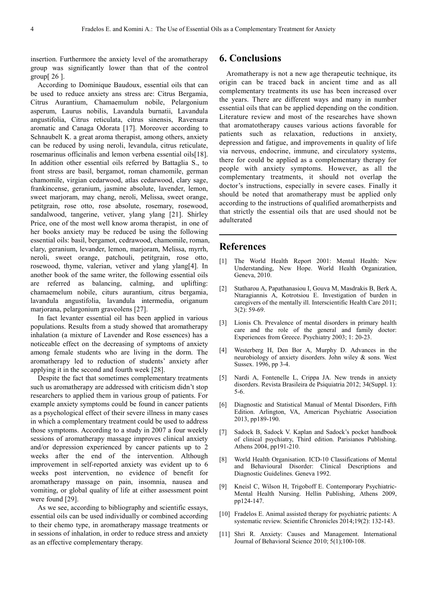insertion. Furthermore the anxiety level of the aromatherapy group was significantly lower than that of the control group[ 26 ].

According to Dominique Baudoux, essential oils that can be used to reduce anxiety ans stress are: Citrus Bergamia, Citrus Aurantium, Chamaemulum nobile, Pelargonium asperum, Laurus nobilis, Lavandula burnatii, Lavandula angustifolia, Citrus reticulata, citrus sinensis, Ravensara aromatic and Canaga Odorata [17]. Moreover according to Schnaubelt K. a great aroma therapist, among others, anxiety can be reduced by using neroli, levandula, citrus reticulate, rosemarinus officinalis and lemon verbena essential oils[18]. In addition other essential oils referred by Battaglia S., to front stress are basil, bergamot, roman chamomile, german chamomile, virgian cedarwood, atlas cedarwood, clary sage, frankincense, geranium, jasmine absolute, lavender, lemon, sweet marjoram, may chang, neroli, Melissa, sweet orange, petitgrain, rose otto, rose absolute, rosemary, rosewood, sandalwood, tangerine, vetiver, ylang ylang [21]. Shirley Price, one of the most well know aroma therapist, in one of her books anxiety may be reduced be using the following essential oils: basil, bergamot, cedrawood, chamomile, roman, clary, geranium, levander, lemon, marjoram, Melissa, myrrh, neroli, sweet orange, patchouli, petitgrain, rose otto, rosewood, thyme, valerian, vetiver and ylang ylang[4]. In another book of the same writer, the following essential oils are referred as balancing, calming, and uplifting: chamaemelum nobile, citurs aurantium, citrus bergamia, lavandula angustifolia, lavandula intermedia, origanum marjorana, pelargonium graveolens [27].

In fact levanter essential oil has been applied in various populations. Results from a study showed that aromatherapy inhalation (a mixture of Lavender and Rose essences) has a noticeable effect on the decreasing of symptoms of anxiety among female students who are living in the dorm. The aromatherapy led to reduction of students' anxiety after applying it in the second and fourth week [28].

Despite the fact that sometimes complementary treatments such us aromatherapy are addressed with criticism didn't stop researchers to applied them in various group of patients. For example anxiety symptoms could be found in cancer patients as a psychological effect of their severe illness in many cases in which a complementary treatment could be used to address those symptoms. According to a study in 2007 a four weekly sessions of aromatherapy massage improves clinical anxiety and/or depression experienced by cancer patients up to 2 weeks after the end of the intervention. Although improvement in self-reported anxiety was evident up to 6 weeks post intervention, no evidence of benefit for aromatherapy massage on pain, insomnia, nausea and vomiting, or global quality of life at either assessment point were found [29].

As we see, according to bibliography and scientific essays, essential oils can be used individually or combined according to their chemo type, in aromatherapy massage treatments or in sessions of inhalation, in order to reduce stress and anxiety as an effective complementary therapy.

## **6. Conclusions**

Aromatherapy is not a new age therapeutic technique, its origin can be traced back in ancient time and as all complementary treatments its use has been increased over the years. There are different ways and many in number essential oils that can be applied depending on the condition. Literature review and most of the researches have shown that aromatotherapy causes various actions favorable for patients such as relaxation, reductions in anxiety, depression and fatigue, and improvements in quality of life via nervous, endocrine, immune, and circulatory systems, there for could be applied as a complementary therapy for people with anxiety symptoms. However, as all the complementary treatments, it should not overlap the doctor's instructions, especially in severe cases. Finally it should be noted that aromatherapy must be applied only according to the instructions of qualified aromatherpists and that strictly the essential oils that are used should not be adulterated

#### **References**

- [1] The World Health Report 2001: Mental Health: New Understanding, New Hope. World Health Organization, Geneva, 2010.
- [2] Statharou A, Papathanasiou I, Gouva M, Masdrakis B, Berk A, Ntaragiannis A, Kotrotsiou E. Investigation of burden in caregivers of the mentally ill. Interscientific Health Care 2011; 3(2): 59-69.
- [3] Lionis Ch. Prevalence of mental disorders in primary health care and the role of the general and family doctor: Experiences from Greece. Psychiatry 2003; 1: 20-23.
- [4] Westerberg H, Den Bor A, Murphy D. Advances in the neurobiology of anxiety disorders. John wiley & sons. West Sussex. 1996, pp 3-4.
- [5] Nardi A, Fontenelle L, Crippa JA. New trends in anxiety disorders. Revista Brasileira de Psiquiatria 2012; 34(Suppl. 1): 5-6.
- [6] Diagnostic and Statistical Manual of Mental Disorders, Fifth Edition. Arlington, VA, American Psychiatric Association 2013, pp189-190.
- [7] Sadock B, Sadock V. Kaplan and Sadock's pocket handbook of clinical psychiatry, Third edition. Parisianos Publishing. Athens 2004, pp191-210.
- [8] World Health Organisation. ICD-10 Classifications of Mental and Behavioural Disorder: Clinical Descriptions and Diagnostic Guidelines. Geneva 1992.
- [9] Kneisl C, Wilson H, Trigoboff E. Contemporary Psychiatric-Mental Health Nursing. Hellin Publishing, Athens 2009, pp124-147.
- [10] Fradelos E. Animal assisted therapy for psychiatric patients: A systematic review. Scientific Chronicles 2014;19(2): 132-143.
- [11] Shri R. Anxiety: Causes and Management. International Journal of Behavioral Science 2010; 5(1);100-108.